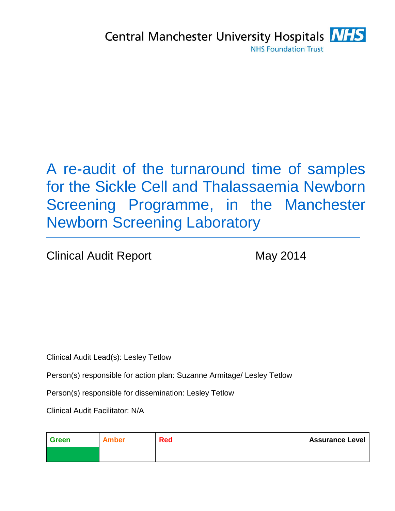# A re-audit of the turnaround time of samples for the Sickle Cell and Thalassaemia Newborn Screening Programme, in the Manchester Newborn Screening Laboratory

Clinical Audit Report May 2014

Clinical Audit Lead(s): Lesley Tetlow

Person(s) responsible for action plan: Suzanne Armitage/ Lesley Tetlow

Person(s) responsible for dissemination: Lesley Tetlow

Clinical Audit Facilitator: N/A

| Green | <b>Amber</b> | Red | <b>Assurance Level</b> |
|-------|--------------|-----|------------------------|
|       |              |     |                        |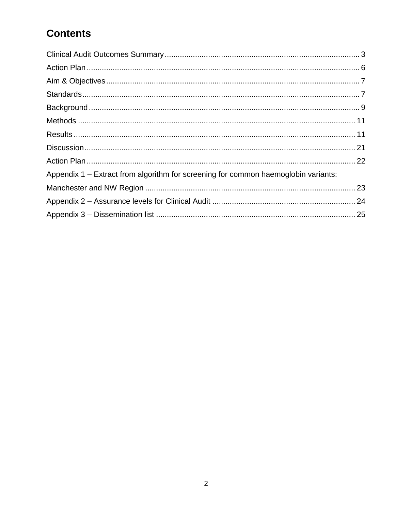# **Contents**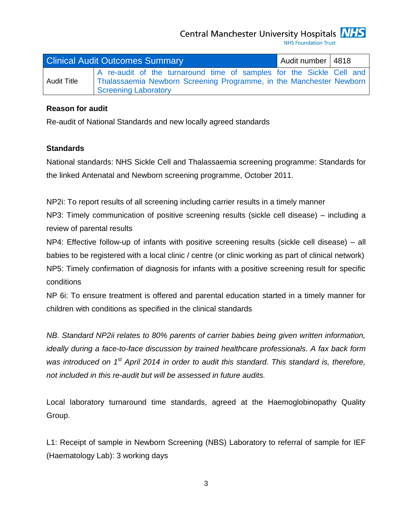Central Manchester University Hospitals **NHS** 

**NHS Foundation Trust** 

<span id="page-2-0"></span>

|                    | <b>Clinical Audit Outcomes Summary</b>                                                                                                                              | Audit number   4818 |  |
|--------------------|---------------------------------------------------------------------------------------------------------------------------------------------------------------------|---------------------|--|
| <b>Audit Title</b> | A re-audit of the turnaround time of samples for the Sickle Cell and<br>Thalassaemia Newborn Screening Programme, in the Manchester Newborn<br>Screening Laboratory |                     |  |

#### **Reason for audit**

Re-audit of National Standards and new locally agreed standards

### **Standards**

National standards: NHS Sickle Cell and Thalassaemia screening programme: Standards for the linked Antenatal and Newborn screening programme, October 2011.

NP2i: To report results of all screening including carrier results in a timely manner

NP3: Timely communication of positive screening results (sickle cell disease) – including a review of parental results

NP4: Effective follow-up of infants with positive screening results (sickle cell disease) – all babies to be registered with a local clinic / centre (or clinic working as part of clinical network) NP5: Timely confirmation of diagnosis for infants with a positive screening result for specific conditions

NP 6i: To ensure treatment is offered and parental education started in a timely manner for children with conditions as specified in the clinical standards

*NB. Standard NP2ii relates to 80% parents of carrier babies being given written information, ideally during a face-to-face discussion by trained healthcare professionals. A fax back form*  was introduced on 1<sup>st</sup> April 2014 in order to audit this standard. This standard is, therefore, *not included in this re-audit but will be assessed in future audits.*

Local laboratory turnaround time standards, agreed at the Haemoglobinopathy Quality Group.

L1: Receipt of sample in Newborn Screening (NBS) Laboratory to referral of sample for IEF (Haematology Lab): 3 working days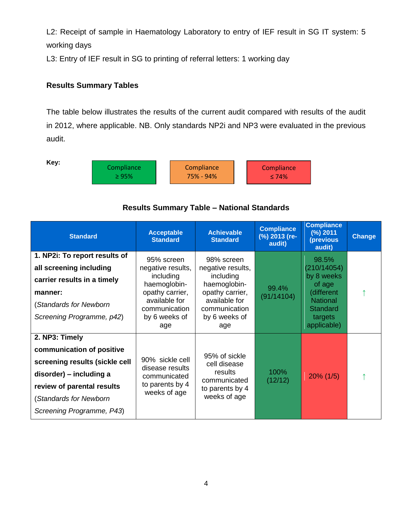L2: Receipt of sample in Haematology Laboratory to entry of IEF result in SG IT system: 5 working days

L3: Entry of IEF result in SG to printing of referral letters: 1 working day

### **Results Summary Tables**

The table below illustrates the results of the current audit compared with results of the audit in 2012, where applicable. NB. Only standards NP2i and NP3 were evaluated in the previous audit.

**Key:** 



# **Results Summary Table – National Standards Standard Compliance (%) Compliance (%)**

| <b>Standard</b>                                                                                                                                                                               | <b>Acceptable</b><br><b>Standard</b>                                                                                                      | <b>Achievable</b><br><b>Standard</b>                                                                                                      | <b>Compliance</b><br>(%) 2013 (re-<br>audit) | <b>Compliance</b><br>(%) 2011<br>(previous<br>audit)                                                                       | <b>Change</b> |
|-----------------------------------------------------------------------------------------------------------------------------------------------------------------------------------------------|-------------------------------------------------------------------------------------------------------------------------------------------|-------------------------------------------------------------------------------------------------------------------------------------------|----------------------------------------------|----------------------------------------------------------------------------------------------------------------------------|---------------|
| 1. NP2i: To report results of<br>all screening including<br>carrier results in a timely<br>manner:<br>(Standards for Newborn<br>Screening Programme, p42)                                     | 95% screen<br>negative results,<br>including<br>haemoglobin-<br>opathy carrier,<br>available for<br>communication<br>by 6 weeks of<br>age | 98% screen<br>negative results,<br>including<br>haemoglobin-<br>opathy carrier,<br>available for<br>communication<br>by 6 weeks of<br>age | 99.4%<br>(91/14104)                          | 98.5%<br>(210/14054)<br>by 8 weeks<br>of age<br>(different<br><b>National</b><br><b>Standard</b><br>targets<br>applicable) |               |
| 2. NP3: Timely<br>communication of positive<br>screening results (sickle cell<br>disorder) – including a<br>review of parental results<br>(Standards for Newborn<br>Screening Programme, P43) | 90% sickle cell<br>disease results<br>communicated<br>to parents by 4<br>weeks of age                                                     | 95% of sickle<br>cell disease<br>results<br>communicated<br>to parents by 4<br>weeks of age                                               | 100%<br>(12/12)                              | $20\%$ (1/5)                                                                                                               |               |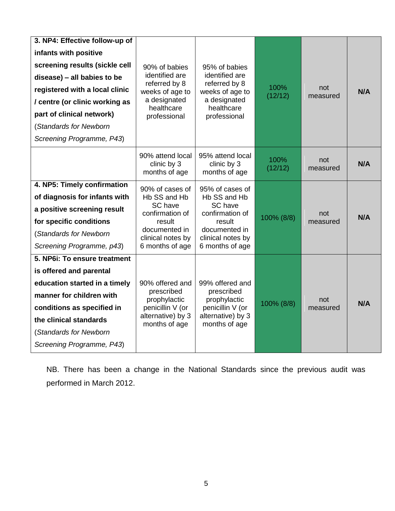| 3. NP4: Effective follow-up of<br>infants with positive<br>screening results (sickle cell<br>disease) - all babies to be<br>registered with a local clinic<br>/ centre (or clinic working as<br>part of clinical network)<br>(Standards for Newborn<br>Screening Programme, P43) | 90% of babies<br>identified are<br>referred by 8<br>weeks of age to<br>a designated<br>healthcare<br>professional                | 95% of babies<br>identified are<br>referred by 8<br>weeks of age to<br>a designated<br>healthcare<br>professional                | 100%<br>(12/12) | not<br>measured | N/A |
|----------------------------------------------------------------------------------------------------------------------------------------------------------------------------------------------------------------------------------------------------------------------------------|----------------------------------------------------------------------------------------------------------------------------------|----------------------------------------------------------------------------------------------------------------------------------|-----------------|-----------------|-----|
|                                                                                                                                                                                                                                                                                  | 90% attend local<br>clinic by 3<br>months of age                                                                                 | 95% attend local<br>clinic by 3<br>months of age                                                                                 | 100%<br>(12/12) | not<br>measured | N/A |
| 4. NP5: Timely confirmation<br>of diagnosis for infants with<br>a positive screening result<br>for specific conditions<br>(Standards for Newborn<br>Screening Programme, p43)                                                                                                    | 90% of cases of<br>Hb SS and Hb<br>SC have<br>confirmation of<br>result<br>documented in<br>clinical notes by<br>6 months of age | 95% of cases of<br>Hb SS and Hb<br>SC have<br>confirmation of<br>result<br>documented in<br>clinical notes by<br>6 months of age | 100% (8/8)      | not<br>measured | N/A |
| 5. NP6i: To ensure treatment<br>is offered and parental<br>education started in a timely<br>manner for children with<br>conditions as specified in<br>the clinical standards<br>(Standards for Newborn<br>Screening Programme, P43)                                              | 90% offered and<br>prescribed<br>prophylactic<br>penicillin V (or<br>alternative) by 3<br>months of age                          | 99% offered and<br>prescribed<br>prophylactic<br>penicillin V (or<br>alternative) by 3<br>months of age                          | 100% (8/8)      | not<br>measured | N/A |

NB. There has been a change in the National Standards since the previous audit was performed in March 2012.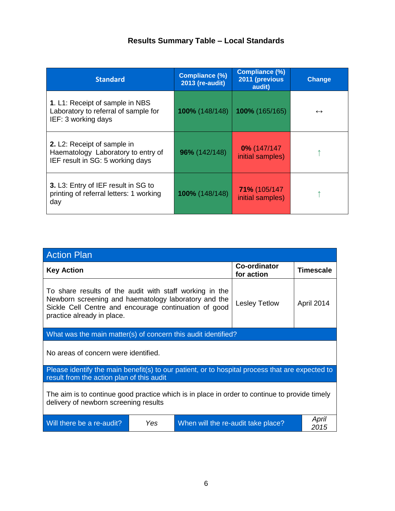### **Results Summary Table – Local Standards**

| <b>Standard</b>                                                                                              | <b>Compliance (%)</b><br>2013 (re-audit) | <b>Compliance (%)</b><br>2011 (previous<br>audit) | <b>Change</b>     |
|--------------------------------------------------------------------------------------------------------------|------------------------------------------|---------------------------------------------------|-------------------|
| 1. L1: Receipt of sample in NBS<br>Laboratory to referral of sample for<br>IEF: 3 working days               | 100% (148/148)                           | 100% (165/165)                                    | $\leftrightarrow$ |
| <b>2.</b> L2: Receipt of sample in<br>Haematology Laboratory to entry of<br>IEF result in SG: 5 working days | 96% (142/148)                            | $0\%$ (147/147<br>initial samples)                |                   |
| 3. L3: Entry of IEF result in SG to<br>printing of referral letters: 1 working<br>day                        | 100% (148/148)                           | 71% (105/147<br>initial samples)                  |                   |

<span id="page-5-0"></span>

| <b>Action Plan</b>                                                                                                                                                                                     |                      |                                    |                                   |                  |  |  |  |
|--------------------------------------------------------------------------------------------------------------------------------------------------------------------------------------------------------|----------------------|------------------------------------|-----------------------------------|------------------|--|--|--|
| <b>Key Action</b>                                                                                                                                                                                      |                      |                                    | <b>Co-ordinator</b><br>for action | <b>Timescale</b> |  |  |  |
| To share results of the audit with staff working in the<br>Newborn screening and haematology laboratory and the<br>Sickle Cell Centre and encourage continuation of good<br>practice already in place. | <b>Lesley Tetlow</b> | April 2014                         |                                   |                  |  |  |  |
| What was the main matter(s) of concern this audit identified?                                                                                                                                          |                      |                                    |                                   |                  |  |  |  |
| No areas of concern were identified.                                                                                                                                                                   |                      |                                    |                                   |                  |  |  |  |
| Please identify the main benefit(s) to our patient, or to hospital process that are expected to<br>result from the action plan of this audit                                                           |                      |                                    |                                   |                  |  |  |  |
| The aim is to continue good practice which is in place in order to continue to provide timely<br>delivery of newborn screening results                                                                 |                      |                                    |                                   |                  |  |  |  |
| Will there be a re-audit?                                                                                                                                                                              | Yes                  | When will the re-audit take place? |                                   | April<br>2015    |  |  |  |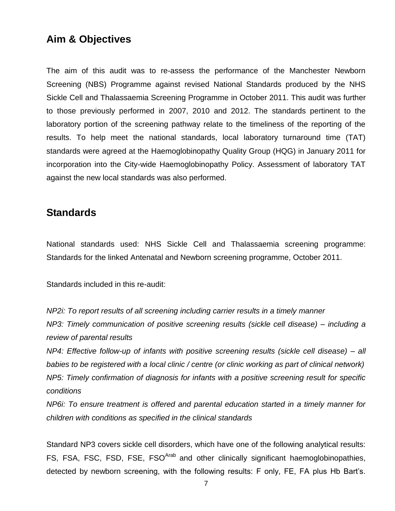### <span id="page-6-0"></span>**Aim & Objectives**

The aim of this audit was to re-assess the performance of the Manchester Newborn Screening (NBS) Programme against revised National Standards produced by the NHS Sickle Cell and Thalassaemia Screening Programme in October 2011. This audit was further to those previously performed in 2007, 2010 and 2012. The standards pertinent to the laboratory portion of the screening pathway relate to the timeliness of the reporting of the results. To help meet the national standards, local laboratory turnaround time (TAT) standards were agreed at the Haemoglobinopathy Quality Group (HQG) in January 2011 for incorporation into the City-wide Haemoglobinopathy Policy. Assessment of laboratory TAT against the new local standards was also performed.

### <span id="page-6-1"></span>**Standards**

National standards used: NHS Sickle Cell and Thalassaemia screening programme: Standards for the linked Antenatal and Newborn screening programme, October 2011.

Standards included in this re-audit:

*NP2i: To report results of all screening including carrier results in a timely manner NP3: Timely communication of positive screening results (sickle cell disease) – including a review of parental results*

*NP4: Effective follow-up of infants with positive screening results (sickle cell disease) – all babies to be registered with a local clinic / centre (or clinic working as part of clinical network) NP5: Timely confirmation of diagnosis for infants with a positive screening result for specific conditions*

*NP6i: To ensure treatment is offered and parental education started in a timely manner for children with conditions as specified in the clinical standards*

Standard NP3 covers sickle cell disorders, which have one of the following analytical results: FS, FSA, FSC, FSD, FSE, FSO<sup>Arab</sup> and other clinically significant haemoglobinopathies, detected by newborn screening, with the following results: F only, FE, FA plus Hb Bart's.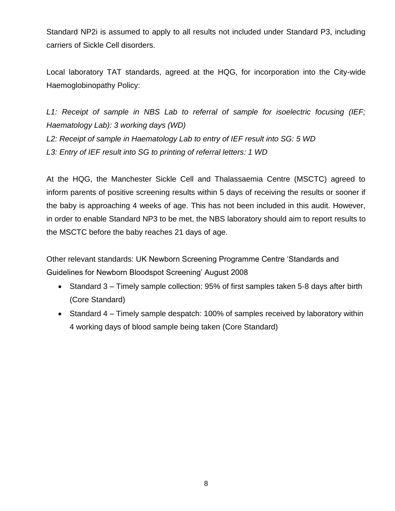Standard NP2i is assumed to apply to all results not included under Standard P3, including carriers of Sickle Cell disorders.

Local laboratory TAT standards, agreed at the HQG, for incorporation into the City-wide Haemoglobinopathy Policy:

*L1: Receipt of sample in NBS Lab to referral of sample for isoelectric focusing (IEF; Haematology Lab): 3 working days (WD) L2: Receipt of sample in Haematology Lab to entry of IEF result into SG: 5 WD L3: Entry of IEF result into SG to printing of referral letters: 1 WD*

At the HQG, the Manchester Sickle Cell and Thalassaemia Centre (MSCTC) agreed to inform parents of positive screening results within 5 days of receiving the results or sooner if the baby is approaching 4 weeks of age. This has not been included in this audit. However, in order to enable Standard NP3 to be met, the NBS laboratory should aim to report results to the MSCTC before the baby reaches 21 days of age.

<span id="page-7-0"></span>Other relevant standards: UK Newborn Screening Programme Centre 'Standards and Guidelines for Newborn Bloodspot Screening' August 2008

- Standard 3 Timely sample collection: 95% of first samples taken 5-8 days after birth (Core Standard)
- Standard 4 Timely sample despatch: 100% of samples received by laboratory within 4 working days of blood sample being taken (Core Standard)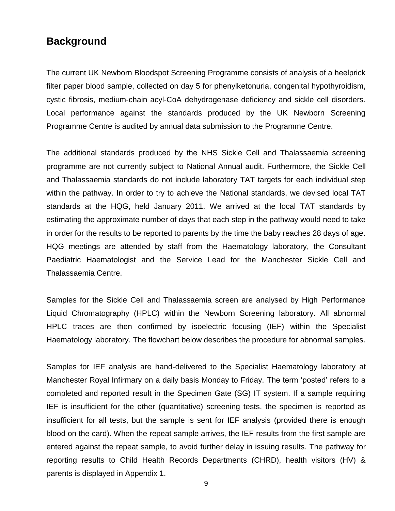### **Background**

The current UK Newborn Bloodspot Screening Programme consists of analysis of a heelprick filter paper blood sample, collected on day 5 for phenylketonuria, congenital hypothyroidism, cystic fibrosis, medium-chain acyl-CoA dehydrogenase deficiency and sickle cell disorders. Local performance against the standards produced by the UK Newborn Screening Programme Centre is audited by annual data submission to the Programme Centre.

The additional standards produced by the NHS Sickle Cell and Thalassaemia screening programme are not currently subject to National Annual audit. Furthermore, the Sickle Cell and Thalassaemia standards do not include laboratory TAT targets for each individual step within the pathway. In order to try to achieve the National standards, we devised local TAT standards at the HQG, held January 2011. We arrived at the local TAT standards by estimating the approximate number of days that each step in the pathway would need to take in order for the results to be reported to parents by the time the baby reaches 28 days of age. HQG meetings are attended by staff from the Haematology laboratory, the Consultant Paediatric Haematologist and the Service Lead for the Manchester Sickle Cell and Thalassaemia Centre.

Samples for the Sickle Cell and Thalassaemia screen are analysed by High Performance Liquid Chromatography (HPLC) within the Newborn Screening laboratory. All abnormal HPLC traces are then confirmed by isoelectric focusing (IEF) within the Specialist Haematology laboratory. The flowchart below describes the procedure for abnormal samples.

Samples for IEF analysis are hand-delivered to the Specialist Haematology laboratory at Manchester Royal Infirmary on a daily basis Monday to Friday. The term 'posted' refers to a completed and reported result in the Specimen Gate (SG) IT system. If a sample requiring IEF is insufficient for the other (quantitative) screening tests, the specimen is reported as insufficient for all tests, but the sample is sent for IEF analysis (provided there is enough blood on the card). When the repeat sample arrives, the IEF results from the first sample are entered against the repeat sample, to avoid further delay in issuing results. The pathway for reporting results to Child Health Records Departments (CHRD), health visitors (HV) & parents is displayed in Appendix 1.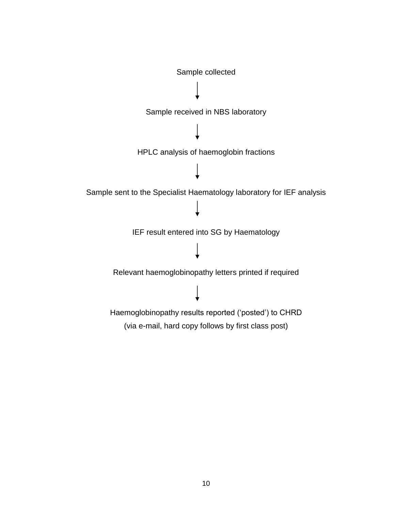<span id="page-9-0"></span>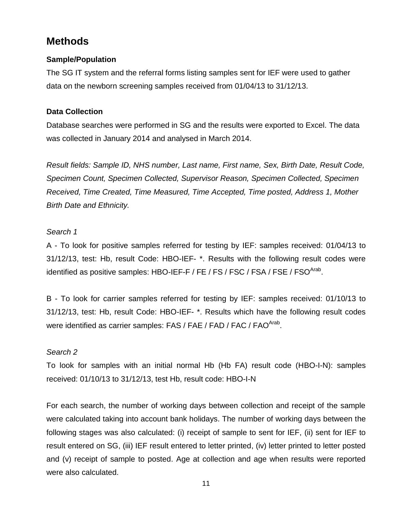## **Methods**

### **Sample/Population**

The SG IT system and the referral forms listing samples sent for IEF were used to gather data on the newborn screening samples received from 01/04/13 to 31/12/13.

### **Data Collection**

Database searches were performed in SG and the results were exported to Excel. The data was collected in January 2014 and analysed in March 2014.

*Result fields: Sample ID, NHS number, Last name, First name, Sex, Birth Date, Result Code, Specimen Count, Specimen Collected, Supervisor Reason, Specimen Collected, Specimen Received, Time Created, Time Measured, Time Accepted, Time posted, Address 1, Mother Birth Date and Ethnicity.*

### *Search 1*

A - To look for positive samples referred for testing by IEF: samples received: 01/04/13 to 31/12/13, test: Hb, result Code: HBO-IEF- \*. Results with the following result codes were identified as positive samples: HBO-IEF-F / FE / FS / FSC / FSA / FSE / FSO<sup>Arab</sup>.

B - To look for carrier samples referred for testing by IEF: samples received: 01/10/13 to 31/12/13, test: Hb, result Code: HBO-IEF- \*. Results which have the following result codes were identified as carrier samples: FAS / FAE / FAD / FAC / FAO<sup>Arab</sup>.

### *Search 2*

To look for samples with an initial normal Hb (Hb FA) result code (HBO-I-N): samples received: 01/10/13 to 31/12/13, test Hb, result code: HBO-I-N

<span id="page-10-0"></span>For each search, the number of working days between collection and receipt of the sample were calculated taking into account bank holidays. The number of working days between the following stages was also calculated: (i) receipt of sample to sent for IEF, (ii) sent for IEF to result entered on SG, (iii) IEF result entered to letter printed, (iv) letter printed to letter posted and (v) receipt of sample to posted. Age at collection and age when results were reported were also calculated.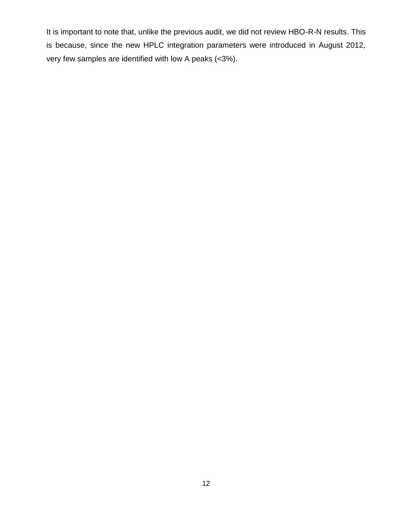It is important to note that, unlike the previous audit, we did not review HBO-R-N results. This is because, since the new HPLC integration parameters were introduced in August 2012, very few samples are identified with low A peaks (<3%).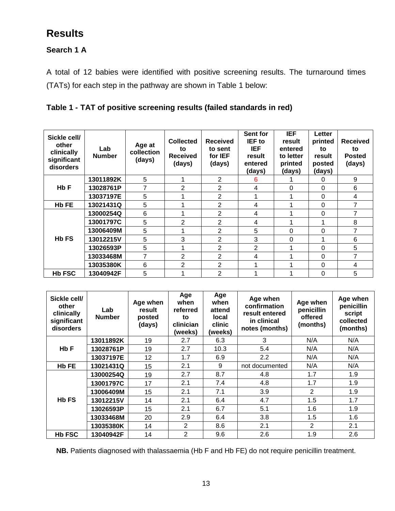# **Results**

### **Search 1 A**

A total of 12 babies were identified with positive screening results. The turnaround times (TATs) for each step in the pathway are shown in Table 1 below:

### **Table 1 - TAT of positive screening results (failed standards in red)**

| Sickle cell/<br>other<br>clinically<br>significant<br>disorders | Lab<br><b>Number</b> | Age at<br>collection<br>(days) | <b>Collected</b><br>to<br><b>Received</b><br>(days) | <b>Received</b><br>to sent<br>for IEF<br>(days) | Sent for<br><b>IEF</b> to<br><b>IEF</b><br>result<br>entered<br>(days) | <b>IEF</b><br>result<br>entered<br>to letter<br>printed<br>(days) | Letter<br>printed<br>to<br>result<br>posted<br>(days) | <b>Received</b><br>to<br><b>Posted</b><br>(days) |
|-----------------------------------------------------------------|----------------------|--------------------------------|-----------------------------------------------------|-------------------------------------------------|------------------------------------------------------------------------|-------------------------------------------------------------------|-------------------------------------------------------|--------------------------------------------------|
|                                                                 | 13011892K            | 5                              |                                                     | 2                                               | 6                                                                      |                                                                   | 0                                                     | 9                                                |
| Hb F                                                            | 13028761P            | 7                              | 2                                                   | 2                                               | 4                                                                      | 0                                                                 | 0                                                     | 6                                                |
|                                                                 | 13037197E            | 5                              |                                                     | $\overline{2}$                                  |                                                                        |                                                                   | 0                                                     | 4                                                |
| Hb FE                                                           | 13021431Q            | 5                              |                                                     | 2                                               | 4                                                                      |                                                                   | $\Omega$                                              | $\overline{7}$                                   |
|                                                                 | 13000254Q            | 6                              |                                                     | $\overline{2}$                                  | 4                                                                      |                                                                   | $\Omega$                                              | $\overline{7}$                                   |
|                                                                 | 13001797C            | 5                              | $\overline{2}$                                      | 2                                               | 4                                                                      |                                                                   |                                                       | 8                                                |
|                                                                 | 13006409M            | 5                              |                                                     | 2                                               | 5                                                                      | $\Omega$                                                          | 0                                                     | 7                                                |
| <b>Hb FS</b>                                                    | 13012215V            | 5                              | 3                                                   | $\overline{2}$                                  | 3                                                                      | 0                                                                 |                                                       | 6                                                |
|                                                                 | 13026593P            | 5                              |                                                     | 2                                               | $\overline{2}$                                                         |                                                                   | $\Omega$                                              | 5                                                |
|                                                                 | 13033468M            | 7                              | $\overline{2}$                                      | $\overline{2}$                                  | 4                                                                      |                                                                   | $\Omega$                                              | 7                                                |
|                                                                 | 13035380K            | 6                              | 2                                                   | 2                                               |                                                                        |                                                                   | 0                                                     | 4                                                |
| <b>Hb FSC</b>                                                   | 13040942F            | 5                              |                                                     | 2                                               |                                                                        |                                                                   | $\Omega$                                              | 5                                                |

| Sickle cell/<br>other<br>clinically<br>significant<br>disorders | Lab<br><b>Number</b> | Age when<br>result<br>posted<br>(days) | Age<br>when<br>referred<br>to<br>clinician<br>(weeks) | Age<br>when<br>attend<br>local<br>clinic<br>(weeks) | Age when<br>confirmation<br>result entered<br>in clinical<br>notes (months) | Age when<br>penicillin<br>offered<br>(months) | Age when<br>penicillin<br>script<br>collected<br>(months) |
|-----------------------------------------------------------------|----------------------|----------------------------------------|-------------------------------------------------------|-----------------------------------------------------|-----------------------------------------------------------------------------|-----------------------------------------------|-----------------------------------------------------------|
|                                                                 | 13011892K            | 19                                     | 2.7                                                   | 6.3                                                 | 3                                                                           | N/A                                           | N/A                                                       |
| Hb F                                                            | 13028761P            | 19                                     | 2.7                                                   | 10.3                                                | 5.4                                                                         | N/A                                           | N/A                                                       |
|                                                                 | 13037197E            | 12 <sup>°</sup>                        | 1.7                                                   | 6.9                                                 | 2.2                                                                         | N/A                                           | N/A                                                       |
| <b>Hb FE</b>                                                    | 13021431Q            | 15                                     | 2.1                                                   | 9                                                   | not documented                                                              | N/A                                           | N/A                                                       |
|                                                                 | 13000254Q            | 19                                     | 2.7                                                   | 8.7                                                 | 4.8                                                                         | 1.7                                           | 1.9                                                       |
| <b>Hb FS</b><br><b>Hb FSC</b>                                   | 13001797C            | 17                                     | 2.1                                                   | 7.4                                                 | 4.8                                                                         | 1.7                                           | 1.9                                                       |
|                                                                 | 13006409M            | 15                                     | 2.1                                                   | 7.1                                                 | 3.9                                                                         | 2                                             | 1.9                                                       |
|                                                                 | 13012215V            | 14                                     | 2.1                                                   | 6.4                                                 | 4.7                                                                         | 1.5                                           | 1.7                                                       |
|                                                                 | 13026593P            | 15                                     | 2.1                                                   | 6.7                                                 | 5.1                                                                         | 1.6                                           | 1.9                                                       |
|                                                                 | 13033468M            | 20                                     | 2.9                                                   | 6.4                                                 | 3.8                                                                         | 1.5                                           | 1.6                                                       |
|                                                                 | 13035380K            | 14                                     | 2                                                     | 8.6                                                 | 2.1                                                                         | 2                                             | 2.1                                                       |
|                                                                 | 13040942F            | 14                                     | 2                                                     | 9.6                                                 | 2.6                                                                         | 1.9                                           | 2.6                                                       |

**NB.** Patients diagnosed with thalassaemia (Hb F and Hb FE) do not require penicillin treatment.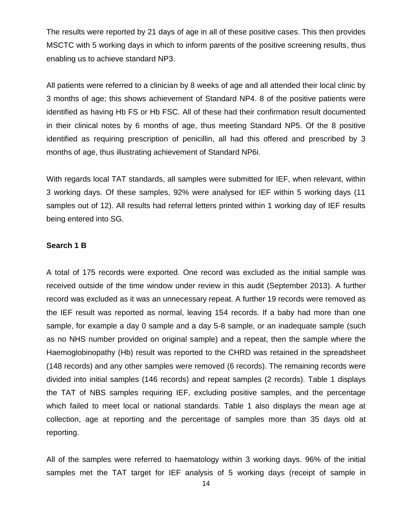The results were reported by 21 days of age in all of these positive cases. This then provides MSCTC with 5 working days in which to inform parents of the positive screening results, thus enabling us to achieve standard NP3.

All patients were referred to a clinician by 8 weeks of age and all attended their local clinic by 3 months of age; this shows achievement of Standard NP4. 8 of the positive patients were identified as having Hb FS or Hb FSC. All of these had their confirmation result documented in their clinical notes by 6 months of age, thus meeting Standard NP5. Of the 8 positive identified as requiring prescription of penicillin, all had this offered and prescribed by 3 months of age, thus illustrating achievement of Standard NP6i.

With regards local TAT standards, all samples were submitted for IEF, when relevant, within 3 working days. Of these samples, 92% were analysed for IEF within 5 working days (11 samples out of 12). All results had referral letters printed within 1 working day of IEF results being entered into SG.

#### **Search 1 B**

A total of 175 records were exported. One record was excluded as the initial sample was received outside of the time window under review in this audit (September 2013). A further record was excluded as it was an unnecessary repeat. A further 19 records were removed as the IEF result was reported as normal, leaving 154 records. If a baby had more than one sample, for example a day 0 sample and a day 5-8 sample, or an inadequate sample (such as no NHS number provided on original sample) and a repeat, then the sample where the Haemoglobinopathy (Hb) result was reported to the CHRD was retained in the spreadsheet (148 records) and any other samples were removed (6 records). The remaining records were divided into initial samples (146 records) and repeat samples (2 records). Table 1 displays the TAT of NBS samples requiring IEF, excluding positive samples, and the percentage which failed to meet local or national standards. Table 1 also displays the mean age at collection, age at reporting and the percentage of samples more than 35 days old at reporting.

All of the samples were referred to haematology within 3 working days. 96% of the initial samples met the TAT target for IEF analysis of 5 working days (receipt of sample in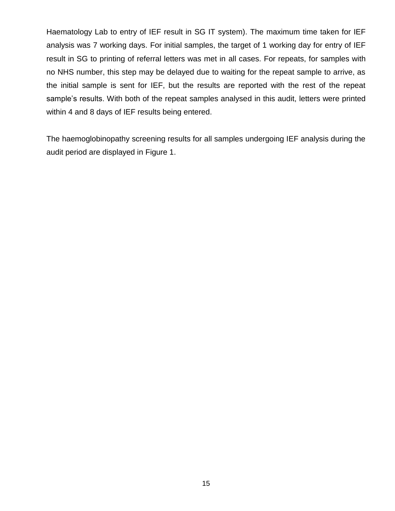Haematology Lab to entry of IEF result in SG IT system). The maximum time taken for IEF analysis was 7 working days. For initial samples, the target of 1 working day for entry of IEF result in SG to printing of referral letters was met in all cases. For repeats, for samples with no NHS number, this step may be delayed due to waiting for the repeat sample to arrive, as the initial sample is sent for IEF, but the results are reported with the rest of the repeat sample's results. With both of the repeat samples analysed in this audit, letters were printed within 4 and 8 days of IEF results being entered.

The haemoglobinopathy screening results for all samples undergoing IEF analysis during the audit period are displayed in Figure 1.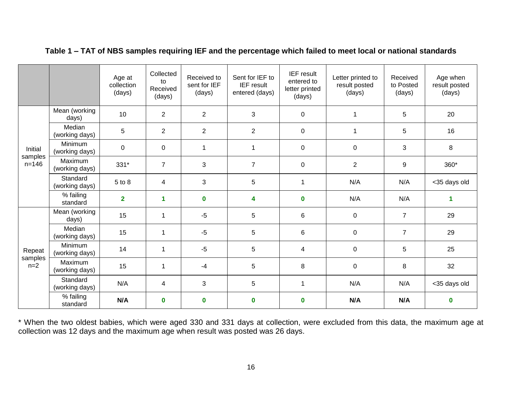|                      |                            | Age at<br>collection<br>(days) | Collected<br>to<br>Received<br>(days) | Received to<br>sent for IEF<br>(days) | Sent for IEF to<br><b>IEF</b> result<br>entered (days) | <b>IEF</b> result<br>entered to<br>letter printed<br>(days) | Letter printed to<br>result posted<br>(days) | Received<br>to Posted<br>(days) | Age when<br>result posted<br>(days) |
|----------------------|----------------------------|--------------------------------|---------------------------------------|---------------------------------------|--------------------------------------------------------|-------------------------------------------------------------|----------------------------------------------|---------------------------------|-------------------------------------|
|                      | Mean (working<br>days)     | 10                             | $\overline{2}$                        | $\overline{2}$                        | 3                                                      | $\pmb{0}$                                                   | $\overline{1}$                               | 5                               | 20                                  |
| Initial              | Median<br>(working days)   | 5                              | $\overline{2}$                        | $\overline{2}$                        | $\overline{2}$                                         | $\pmb{0}$                                                   | $\mathbf{1}$                                 | 5                               | 16                                  |
|                      | Minimum<br>(working days)  | $\boldsymbol{0}$               | $\mathbf 0$                           | 1                                     | $\mathbf{1}$                                           | $\pmb{0}$                                                   | $\pmb{0}$                                    | 3                               | 8                                   |
| samples<br>$n = 146$ | Maximum<br>(working days)  | 331*                           | $\overline{7}$                        | 3                                     | $\overline{7}$                                         | $\pmb{0}$                                                   | $\overline{2}$                               | $9\,$                           | 360*                                |
|                      | Standard<br>(working days) | 5 to 8                         | 4                                     | 3                                     | 5                                                      | 1                                                           | N/A                                          | N/A                             | <35 days old                        |
|                      | % failing<br>standard      | $\overline{2}$                 | 1                                     | $\mathbf 0$                           | 4                                                      | $\mathbf 0$                                                 | N/A                                          | N/A                             | 1                                   |
|                      | Mean (working<br>days)     | 15                             | 1                                     | $-5$                                  | 5                                                      | 6                                                           | $\pmb{0}$                                    | $\overline{7}$                  | 29                                  |
|                      | Median<br>(working days)   | 15                             | $\mathbf{1}$                          | $-5$                                  | 5                                                      | 6                                                           | $\mathbf 0$                                  | $\overline{7}$                  | 29                                  |
| Repeat               | Minimum<br>(working days)  | 14                             | $\mathbf{1}$                          | $-5$                                  | 5                                                      | $\overline{4}$                                              | $\mathbf 0$                                  | 5                               | 25                                  |
| samples<br>$n=2$     | Maximum<br>(working days)  | 15                             | $\mathbf{1}$                          | $-4$                                  | 5                                                      | 8                                                           | $\pmb{0}$                                    | 8                               | 32                                  |
|                      | Standard<br>(working days) | N/A                            | 4                                     | 3                                     | 5                                                      | 1                                                           | N/A                                          | N/A                             | <35 days old                        |
|                      | % failing<br>standard      | N/A                            | $\mathbf 0$                           | $\mathbf 0$                           | $\mathbf 0$                                            | $\mathbf 0$                                                 | N/A                                          | N/A                             | $\mathbf 0$                         |

### **Table 1 – TAT of NBS samples requiring IEF and the percentage which failed to meet local or national standards**

\* When the two oldest babies, which were aged 330 and 331 days at collection, were excluded from this data, the maximum age at collection was 12 days and the maximum age when result was posted was 26 days.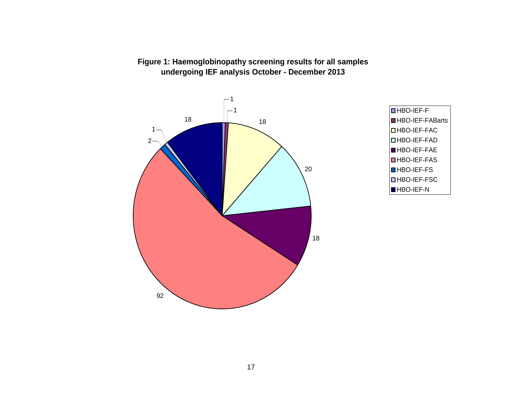

### **Figure 1: Haemoglobinopathy screening results for all samples undergoing IEF analysis October - December 2013**

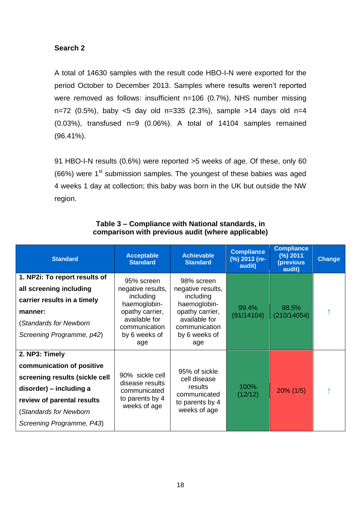### **Search 2**

A total of 14630 samples with the result code HBO-I-N were exported for the period October to December 2013. Samples where results weren't reported were removed as follows: insufficient n=106 (0.7%), NHS number missing n=72 (0.5%), baby <5 day old n=335 (2.3%), sample >14 days old n=4 (0.03%), transfused n=9 (0.06%). A total of 14104 samples remained (96.41%).

91 HBO-I-N results (0.6%) were reported >5 weeks of age. Of these, only 60  $(66%)$  were 1<sup>st</sup> submission samples. The youngest of these babies was aged 4 weeks 1 day at collection; this baby was born in the UK but outside the NW region.

| <b>Standard</b>                                                                                                                                                                               | <b>Achievable</b><br><b>Acceptable</b><br><b>Standard</b><br><b>Standard</b>                                                              |                                                                                                                                           | <b>Compliance</b><br>(%) 2013 (re-<br>audit) | <b>Compliance</b><br>(%) 2011<br>(previous<br>audit) | <b>Change</b> |
|-----------------------------------------------------------------------------------------------------------------------------------------------------------------------------------------------|-------------------------------------------------------------------------------------------------------------------------------------------|-------------------------------------------------------------------------------------------------------------------------------------------|----------------------------------------------|------------------------------------------------------|---------------|
| 1. NP2i: To report results of<br>all screening including<br>carrier results in a timely<br>manner:<br>(Standards for Newborn<br>Screening Programme, p42)                                     | 95% screen<br>negative results,<br>including<br>haemoglobin-<br>opathy carrier,<br>available for<br>communication<br>by 6 weeks of<br>age | 98% screen<br>negative results,<br>including<br>haemoglobin-<br>opathy carrier,<br>available for<br>communication<br>by 6 weeks of<br>age | 99.4%<br>(91/14104)                          | 98.5%<br>(210/14054)                                 |               |
| 2. NP3: Timely<br>communication of positive<br>screening results (sickle cell<br>disorder) – including a<br>review of parental results<br>(Standards for Newborn<br>Screening Programme, P43) | 90% sickle cell<br>disease results<br>communicated<br>to parents by 4<br>weeks of age                                                     | 95% of sickle<br>cell disease<br>results<br>communicated<br>to parents by 4<br>weeks of age                                               | 100%<br>(12/12)                              | $20\%$ (1/5)                                         |               |

### **Table 3 – Compliance with National standards, in comparison with previous audit (where applicable)**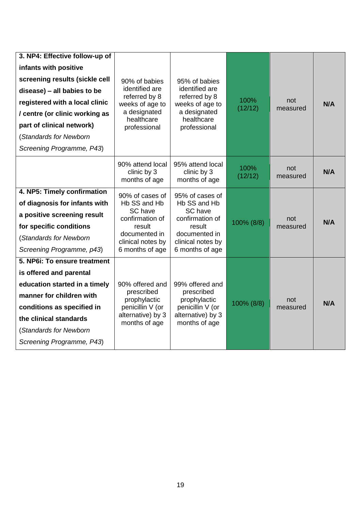| 3. NP4: Effective follow-up of<br>infants with positive<br>screening results (sickle cell<br>disease) - all babies to be<br>registered with a local clinic<br>/ centre (or clinic working as<br>part of clinical network)<br>(Standards for Newborn<br>Screening Programme, P43) | 90% of babies<br>identified are<br>referred by 8<br>weeks of age to<br>a designated<br>healthcare<br>professional                | 95% of babies<br>identified are<br>referred by 8<br>weeks of age to<br>a designated<br>healthcare<br>professional                | 100%<br>(12/12) | not<br>measured | <b>N/A</b> |
|----------------------------------------------------------------------------------------------------------------------------------------------------------------------------------------------------------------------------------------------------------------------------------|----------------------------------------------------------------------------------------------------------------------------------|----------------------------------------------------------------------------------------------------------------------------------|-----------------|-----------------|------------|
|                                                                                                                                                                                                                                                                                  | 90% attend local<br>clinic by 3<br>months of age                                                                                 | 95% attend local<br>clinic by 3<br>months of age                                                                                 | 100%<br>(12/12) | not<br>measured | N/A        |
| 4. NP5: Timely confirmation<br>of diagnosis for infants with<br>a positive screening result<br>for specific conditions<br>(Standards for Newborn<br>Screening Programme, p43)                                                                                                    | 90% of cases of<br>Hb SS and Hb<br>SC have<br>confirmation of<br>result<br>documented in<br>clinical notes by<br>6 months of age | 95% of cases of<br>Hb SS and Hb<br>SC have<br>confirmation of<br>result<br>documented in<br>clinical notes by<br>6 months of age | 100% (8/8)      | not<br>measured | <b>N/A</b> |
| 5. NP6i: To ensure treatment<br>is offered and parental<br>education started in a timely<br>manner for children with<br>conditions as specified in<br>the clinical standards<br>(Standards for Newborn<br>Screening Programme, P43)                                              | 90% offered and<br>prescribed<br>prophylactic<br>penicillin V (or<br>alternative) by 3<br>months of age                          | 99% offered and<br>prescribed<br>prophylactic<br>penicillin V (or<br>alternative) by 3<br>months of age                          | 100% (8/8)      | not<br>measured | N/A        |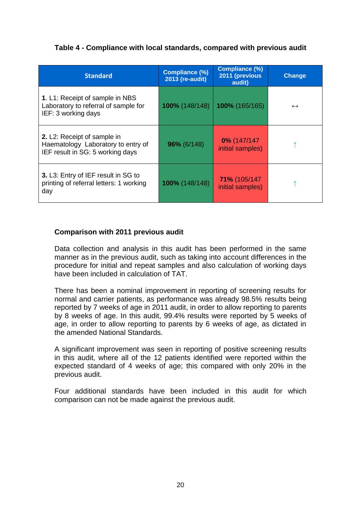### **Table 4 - Compliance with local standards, compared with previous audit**

| <b>Standard</b>                                                                                       | <b>Compliance (%)</b><br>2013 (re-audit) | <b>Compliance (%)</b><br>2011 (previous<br>audit) | <b>Change</b>     |
|-------------------------------------------------------------------------------------------------------|------------------------------------------|---------------------------------------------------|-------------------|
| 1. L1: Receipt of sample in NBS<br>Laboratory to referral of sample for<br>IEF: 3 working days        | 100% (148/148)                           | 100% (165/165)                                    | $\leftrightarrow$ |
| 2. L2: Receipt of sample in<br>Haematology Laboratory to entry of<br>IEF result in SG: 5 working days | 96% (6/148)                              | $0\%$ (147/147<br>initial samples)                |                   |
| 3. L3: Entry of IEF result in SG to<br>printing of referral letters: 1 working<br>day                 | 100% (148/148)                           | 71% (105/147<br>initial samples)                  |                   |

#### **Comparison with 2011 previous audit**

Data collection and analysis in this audit has been performed in the same manner as in the previous audit, such as taking into account differences in the procedure for initial and repeat samples and also calculation of working days have been included in calculation of TAT.

There has been a nominal improvement in reporting of screening results for normal and carrier patients, as performance was already 98.5% results being reported by 7 weeks of age in 2011 audit, in order to allow reporting to parents by 8 weeks of age. In this audit, 99.4% results were reported by 5 weeks of age, in order to allow reporting to parents by 6 weeks of age, as dictated in the amended National Standards.

A significant improvement was seen in reporting of positive screening results in this audit, where all of the 12 patients identified were reported within the expected standard of 4 weeks of age; this compared with only 20% in the previous audit.

<span id="page-19-0"></span>Four additional standards have been included in this audit for which comparison can not be made against the previous audit.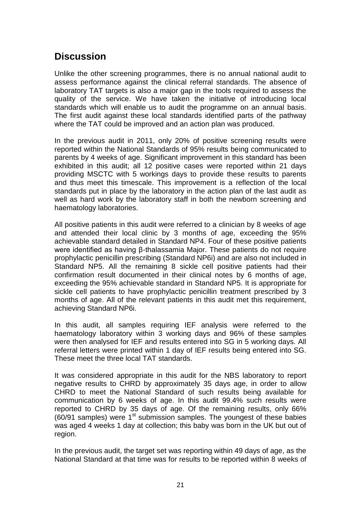### **Discussion**

Unlike the other screening programmes, there is no annual national audit to assess performance against the clinical referral standards. The absence of laboratory TAT targets is also a major gap in the tools required to assess the quality of the service. We have taken the initiative of introducing local standards which will enable us to audit the programme on an annual basis. The first audit against these local standards identified parts of the pathway where the TAT could be improved and an action plan was produced.

In the previous audit in 2011, only 20% of positive screening results were reported within the National Standards of 95% results being communicated to parents by 4 weeks of age. Significant improvement in this standard has been exhibited in this audit; all 12 positive cases were reported within 21 days providing MSCTC with 5 workings days to provide these results to parents and thus meet this timescale. This improvement is a reflection of the local standards put in place by the laboratory in the action plan of the last audit as well as hard work by the laboratory staff in both the newborn screening and haematology laboratories.

All positive patients in this audit were referred to a clinician by 8 weeks of age and attended their local clinic by 3 months of age, exceeding the 95% achievable standard detailed in Standard NP4. Four of these positive patients were identified as having β-thalassamia Major. These patients do not require prophylactic penicillin prescribing (Standard NP6i) and are also not included in Standard NP5. All the remaining 8 sickle cell positive patients had their confirmation result documented in their clinical notes by 6 months of age, exceeding the 95% achievable standard in Standard NP5. It is appropriate for sickle cell patients to have prophylactic penicillin treatment prescribed by 3 months of age. All of the relevant patients in this audit met this requirement, achieving Standard NP6i.

In this audit, all samples requiring IEF analysis were referred to the haematology laboratory within 3 working days and 96% of these samples were then analysed for IEF and results entered into SG in 5 working days. All referral letters were printed within 1 day of IEF results being entered into SG. These meet the three local TAT standards.

It was considered appropriate in this audit for the NBS laboratory to report negative results to CHRD by approximately 35 days age, in order to allow CHRD to meet the National Standard of such results being available for communication by 6 weeks of age. In this audit 99.4% such results were reported to CHRD by 35 days of age. Of the remaining results, only 66%  $(60/91$  samples) were  $1<sup>st</sup>$  submission samples. The youngest of these babies was aged 4 weeks 1 day at collection; this baby was born in the UK but out of region.

In the previous audit, the target set was reporting within 49 days of age, as the National Standard at that time was for results to be reported within 8 weeks of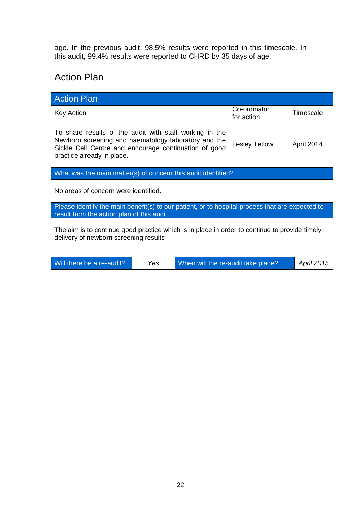<span id="page-21-0"></span>age. In the previous audit, 98.5% results were reported in this timescale. In this audit, 99.4% results were reported to CHRD by 35 days of age.

## Action Plan

| <b>Action Plan</b>                                                                                                                                                                                     |     |                                    |                      |                   |  |
|--------------------------------------------------------------------------------------------------------------------------------------------------------------------------------------------------------|-----|------------------------------------|----------------------|-------------------|--|
| <b>Key Action</b>                                                                                                                                                                                      |     | Co-ordinator<br>for action         | Timescale            |                   |  |
| To share results of the audit with staff working in the<br>Newborn screening and haematology laboratory and the<br>Sickle Cell Centre and encourage continuation of good<br>practice already in place. |     |                                    | <b>Lesley Tetlow</b> | April 2014        |  |
| What was the main matter(s) of concern this audit identified?                                                                                                                                          |     |                                    |                      |                   |  |
| No areas of concern were identified.                                                                                                                                                                   |     |                                    |                      |                   |  |
| Please identify the main benefit(s) to our patient, or to hospital process that are expected to<br>result from the action plan of this audit                                                           |     |                                    |                      |                   |  |
| The aim is to continue good practice which is in place in order to continue to provide timely<br>delivery of newborn screening results                                                                 |     |                                    |                      |                   |  |
| Will there be a re-audit?                                                                                                                                                                              | Yes | When will the re-audit take place? |                      | <b>April 2015</b> |  |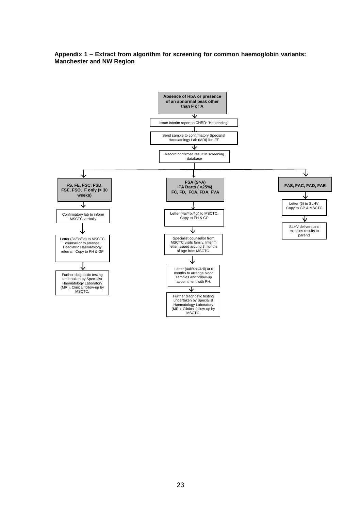<span id="page-22-0"></span>**Appendix 1 – Extract from algorithm for screening for common haemoglobin variants: Manchester and NW Region**

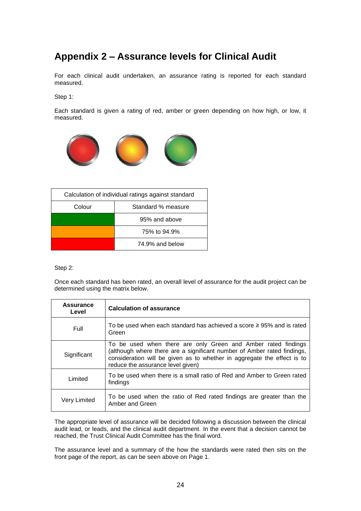# <span id="page-23-0"></span>**Appendix 2 – Assurance levels for Clinical Audit**

For each clinical audit undertaken, an assurance rating is reported for each standard measured.

Step 1:

Each standard is given a rating of red, amber or green depending on how high, or low, it measured.



| Calculation of individual ratings against standard |                    |  |
|----------------------------------------------------|--------------------|--|
| Colour                                             | Standard % measure |  |
|                                                    | 95% and above      |  |
|                                                    | 75% to 94.9%       |  |
|                                                    | 74.9% and below    |  |

Step 2:

Once each standard has been rated, an overall level of assurance for the audit project can be determined using the matrix below.

| Assurance<br>Level | <b>Calculation of assurance</b>                                                                                                                                                                                                                          |
|--------------------|----------------------------------------------------------------------------------------------------------------------------------------------------------------------------------------------------------------------------------------------------------|
| Full               | To be used when each standard has achieved a score $\geq$ 95% and is rated<br>Green                                                                                                                                                                      |
| Significant        | To be used when there are only Green and Amber rated findings<br>(although where there are a significant number of Amber rated findings,<br>consideration will be given as to whether in aggregate the effect is to<br>reduce the assurance level given) |
| Limited            | To be used when there is a small ratio of Red and Amber to Green rated<br>findings                                                                                                                                                                       |
| Very Limited       | To be used when the ratio of Red rated findings are greater than the<br>Amber and Green                                                                                                                                                                  |

The appropriate level of assurance will be decided following a discussion between the clinical audit lead, or leads, and the clinical audit department. In the event that a decision cannot be reached, the Trust Clinical Audit Committee has the final word.

The assurance level and a summary of the how the standards were rated then sits on the front page of the report, as can be seen above on Page 1.